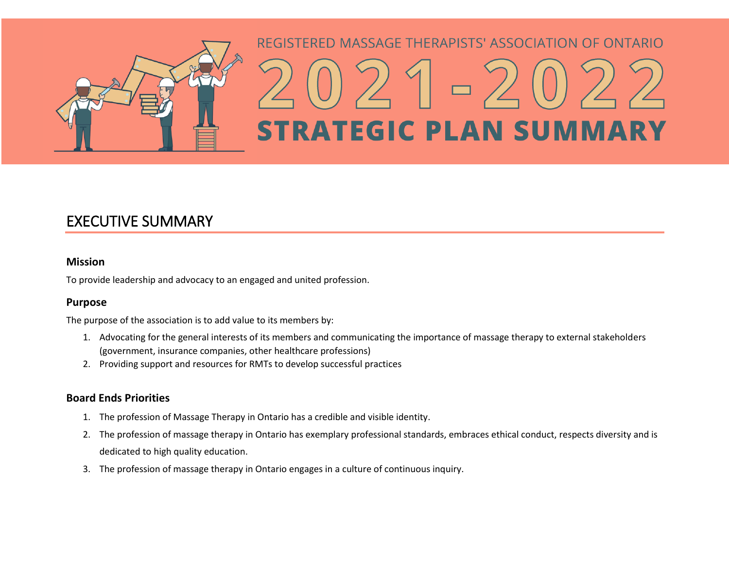

# REGISTERED MASSAGE THERAPISTS' ASSOCIATION OF ONTARIO **STRATEGIC PLAN SUMMARY**

# EXECUTIVE SUMMARY

## **Mission**

To provide leadership and advocacy to an engaged and united profession.

## **Purpose**

The purpose of the association is to add value to its members by:

- 1. Advocating for the general interests of its members and communicating the importance of massage therapy to external stakeholders (government, insurance companies, other healthcare professions)
- 2. Providing support and resources for RMTs to develop successful practices

## **Board Ends Priorities**

- 1. The profession of Massage Therapy in Ontario has a credible and visible identity.
- 2. The profession of massage therapy in Ontario has exemplary professional standards, embraces ethical conduct, respects diversity and is dedicated to high quality education.
- 3. The profession of massage therapy in Ontario engages in a culture of continuous inquiry.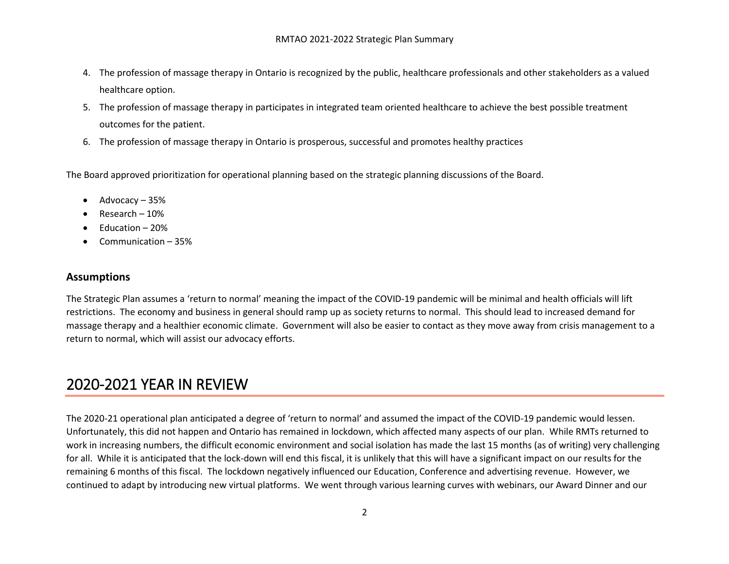- 4. The profession of massage therapy in Ontario is recognized by the public, healthcare professionals and other stakeholders as a valued healthcare option.
- 5. The profession of massage therapy in participates in integrated team oriented healthcare to achieve the best possible treatment outcomes for the patient.
- 6. The profession of massage therapy in Ontario is prosperous, successful and promotes healthy practices

The Board approved prioritization for operational planning based on the strategic planning discussions of the Board.

- $\bullet$  Advocacy 35%
- Research 10%
- $\bullet$  Education 20%
- Communication 35%

### **Assumptions**

The Strategic Plan assumes a 'return to normal' meaning the impact of the COVID-19 pandemic will be minimal and health officials will lift restrictions. The economy and business in general should ramp up as society returns to normal. This should lead to increased demand for massage therapy and a healthier economic climate. Government will also be easier to contact as they move away from crisis management to a return to normal, which will assist our advocacy efforts.

# 2020-2021 YEAR IN REVIEW

The 2020-21 operational plan anticipated a degree of 'return to normal' and assumed the impact of the COVID-19 pandemic would lessen. Unfortunately, this did not happen and Ontario has remained in lockdown, which affected many aspects of our plan. While RMTs returned to work in increasing numbers, the difficult economic environment and social isolation has made the last 15 months (as of writing) very challenging for all. While it is anticipated that the lock-down will end this fiscal, it is unlikely that this will have a significant impact on our results for the remaining 6 months of this fiscal. The lockdown negatively influenced our Education, Conference and advertising revenue. However, we continued to adapt by introducing new virtual platforms. We went through various learning curves with webinars, our Award Dinner and our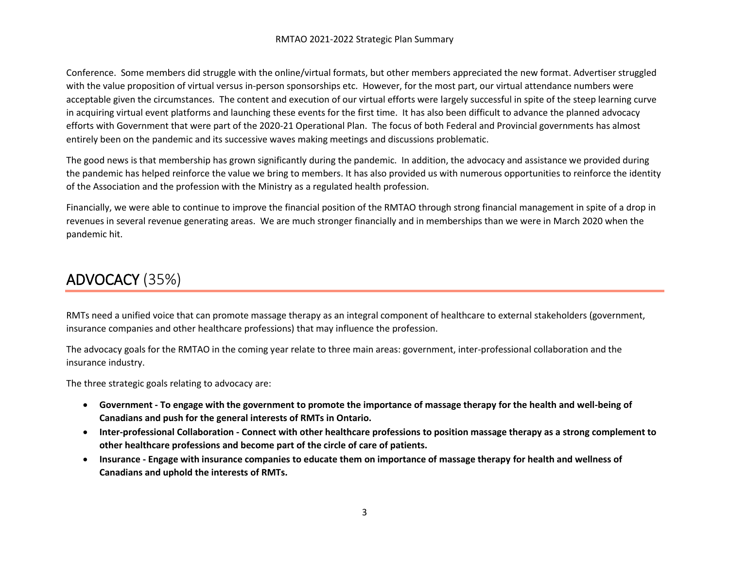#### RMTAO 2021-2022 Strategic Plan Summary

Conference. Some members did struggle with the online/virtual formats, but other members appreciated the new format. Advertiser struggled with the value proposition of virtual versus in-person sponsorships etc. However, for the most part, our virtual attendance numbers were acceptable given the circumstances. The content and execution of our virtual efforts were largely successful in spite of the steep learning curve in acquiring virtual event platforms and launching these events for the first time. It has also been difficult to advance the planned advocacy efforts with Government that were part of the 2020-21 Operational Plan. The focus of both Federal and Provincial governments has almost entirely been on the pandemic and its successive waves making meetings and discussions problematic.

The good news is that membership has grown significantly during the pandemic. In addition, the advocacy and assistance we provided during the pandemic has helped reinforce the value we bring to members. It has also provided us with numerous opportunities to reinforce the identity of the Association and the profession with the Ministry as a regulated health profession.

Financially, we were able to continue to improve the financial position of the RMTAO through strong financial management in spite of a drop in revenues in several revenue generating areas. We are much stronger financially and in memberships than we were in March 2020 when the pandemic hit.

## ADVOCACY (35%)

RMTs need a unified voice that can promote massage therapy as an integral component of healthcare to external stakeholders (government, insurance companies and other healthcare professions) that may influence the profession.

The advocacy goals for the RMTAO in the coming year relate to three main areas: government, inter-professional collaboration and the insurance industry.

The three strategic goals relating to advocacy are:

- **Government - To engage with the government to promote the importance of massage therapy for the health and well-being of Canadians and push for the general interests of RMTs in Ontario.**
- **Inter-professional Collaboration - Connect with other healthcare professions to position massage therapy as a strong complement to other healthcare professions and become part of the circle of care of patients.**
- **Insurance - Engage with insurance companies to educate them on importance of massage therapy for health and wellness of Canadians and uphold the interests of RMTs.**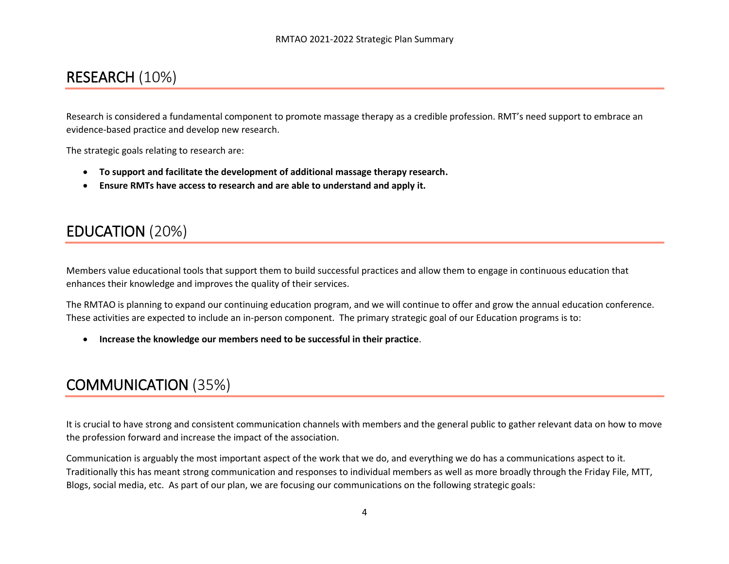## RESEARCH (10%)

Research is considered a fundamental component to promote massage therapy as a credible profession. RMT's need support to embrace an evidence-based practice and develop new research.

The strategic goals relating to research are:

- **To support and facilitate the development of additional massage therapy research.**
- **Ensure RMTs have access to research and are able to understand and apply it.**

## EDUCATION (20%)

Members value educational tools that support them to build successful practices and allow them to engage in continuous education that enhances their knowledge and improves the quality of their services.

The RMTAO is planning to expand our continuing education program, and we will continue to offer and grow the annual education conference. These activities are expected to include an in-person component. The primary strategic goal of our Education programs is to:

**Increase the knowledge our members need to be successful in their practice**.

## COMMUNICATION (35%)

It is crucial to have strong and consistent communication channels with members and the general public to gather relevant data on how to move the profession forward and increase the impact of the association.

Communication is arguably the most important aspect of the work that we do, and everything we do has a communications aspect to it. Traditionally this has meant strong communication and responses to individual members as well as more broadly through the Friday File, MTT, Blogs, social media, etc. As part of our plan, we are focusing our communications on the following strategic goals: